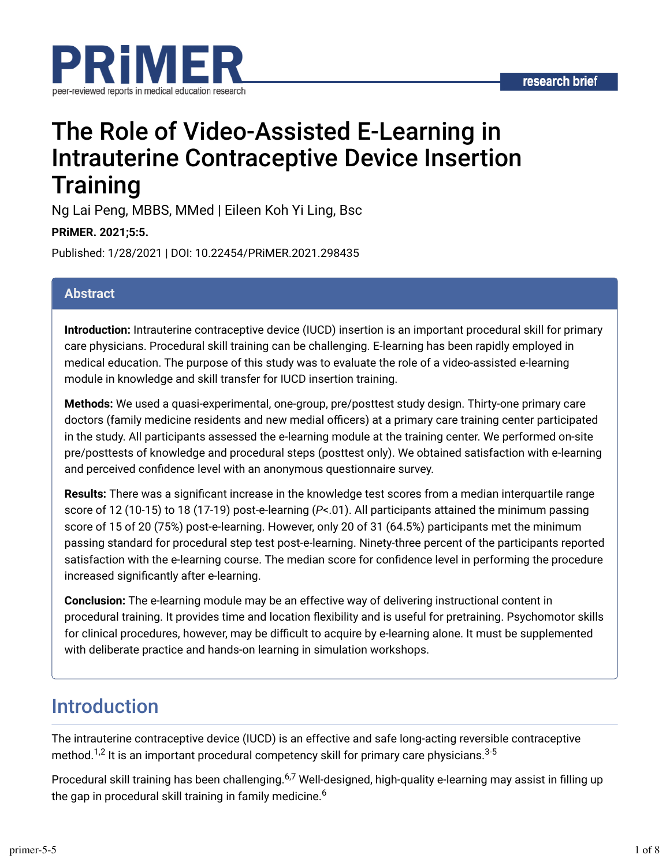

# The Role of Video-Assisted E-Learning in Intrauterine Contraceptive Device Insertion **Training**

Ng Lai Peng, MBBS, MMed | Eileen Koh Yi Ling, Bsc

#### **PRiMER. 2021;5:5.**

Published: 1/28/2021 | DOI: 10.22454/PRiMER.2021.298435

#### **Abstract**

**Introduction:** Intrauterine contraceptive device (IUCD) insertion is an important procedural skill for primary care physicians. Procedural skill training can be challenging. E-learning has been rapidly employed in medical education. The purpose of this study was to evaluate the role of a video-assisted e-learning module in knowledge and skill transfer for IUCD insertion training.

**Methods:** We used a quasi-experimental, one-group, pre/posttest study design. Thirty-one primary care doctors (family medicine residents and new medial officers) at a primary care training center participated in the study. All participants assessed the e-learning module at the training center. We performed on-site pre/posttests of knowledge and procedural steps (posttest only). We obtained satisfaction with e-learning and perceived confidence level with an anonymous questionnaire survey.

**Results:** There was a significant increase in the knowledge test scores from a median interquartile range score of 12 (10-15) to 18 (17-19) post-e-learning (*P*<.01). All participants attained the minimum passing score of 15 of 20 (75%) post-e-learning. However, only 20 of 31 (64.5%) participants met the minimum passing standard for procedural step test post-e-learning. Ninety-three percent of the participants reported satisfaction with the e-learning course. The median score for confidence level in performing the procedure increased significantly after e-learning.

**Conclusion:** The e-learning module may be an effective way of delivering instructional content in procedural training. It provides time and location dexibility and is useful for pretraining. Psychomotor skills for clinical procedures, however, may be difficult to acquire by e-learning alone. It must be supplemented with deliberate practice and hands-on learning in simulation workshops.

## Introduction

The intrauterine contraceptive device (IUCD) is an effective and safe long-acting reversible contraceptive method. $^{1,2}$  It is an important procedural competency skill for primary care physicians. $^{3\text{-}5}$ 

Procedural skill training has been challenging.<sup>6,7</sup> Well-designed, high-quality e-learning may assist in filling up the gap in procedural skill training in family medicine. $^6\,$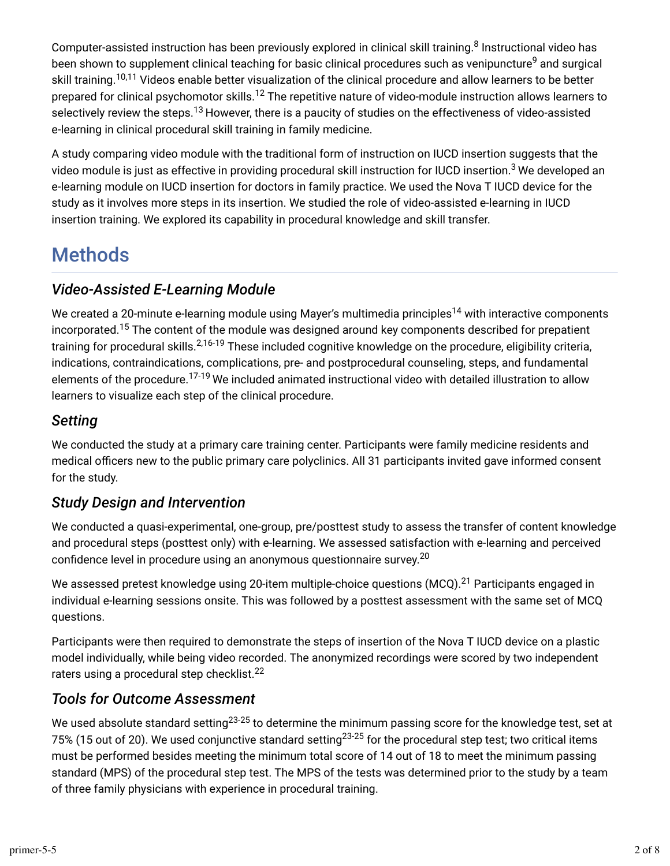Computer-assisted instruction has been previously explored in clinical skill training.<sup>8</sup> Instructional video has been shown to supplement clinical teaching for basic clinical procedures such as venipuncture<sup>9</sup> and surgical skill training.<sup>10,11</sup> Videos enable better visualization of the clinical procedure and allow learners to be better prepared for clinical psychomotor skills.<sup>12</sup> The repetitive nature of video-module instruction allows learners to selectively review the steps. $^{13}$  However, there is a paucity of studies on the effectiveness of video-assisted e-learning in clinical procedural skill training in family medicine.

A study comparing video module with the traditional form of instruction on IUCD insertion suggests that the video module is just as effective in providing procedural skill instruction for IUCD insertion.<sup>3</sup> We developed an e-learning module on IUCD insertion for doctors in family practice. We used the Nova T IUCD device for the study as it involves more steps in its insertion. We studied the role of video-assisted e-learning in IUCD insertion training. We explored its capability in procedural knowledge and skill transfer.

## **Methods**

## *Video-Assisted E-Learning Module*

We created a 20-minute e-learning module using Mayer's multimedia principles<sup>14</sup> with interactive components incorporated.<sup>15</sup> The content of the module was designed around key components described for prepatient training for procedural skills.<sup>2,16-19</sup> These included cognitive knowledge on the procedure, eligibility criteria, indications, contraindications, complications, pre- and postprocedural counseling, steps, and fundamental elements of the procedure.<sup>17-19</sup> We included animated instructional video with detailed illustration to allow learners to visualize each step of the clinical procedure.

### *Setting*

We conducted the study at a primary care training center. Participants were family medicine residents and medical officers new to the public primary care polyclinics. All 31 participants invited gave informed consent for the study.

### *Study Design and Intervention*

We conducted a quasi-experimental, one-group, pre/posttest study to assess the transfer of content knowledge and procedural steps (posttest only) with e-learning. We assessed satisfaction with e-learning and perceived confidence level in procedure using an anonymous questionnaire survey. $^{20}$ 

We assessed pretest knowledge using 20-item multiple-choice questions (MCQ). $^{21}$  Participants engaged in individual e-learning sessions onsite. This was followed by a posttest assessment with the same set of MCQ questions.

Participants were then required to demonstrate the steps of insertion of the Nova T IUCD device on a plastic model individually, while being video recorded. The anonymized recordings were scored by two independent raters using a procedural step checklist.<sup>22</sup>

## *Tools for Outcome Assessment*

We used absolute standard setting $^{23\text{-}25}$  to determine the minimum passing score for the knowledge test, set at 75% (15 out of 20). We used conjunctive standard setting $^{23\text{-}25}$  for the procedural step test; two critical items must be performed besides meeting the minimum total score of 14 out of 18 to meet the minimum passing standard (MPS) of the procedural step test. The MPS of the tests was determined prior to the study by a team of three family physicians with experience in procedural training.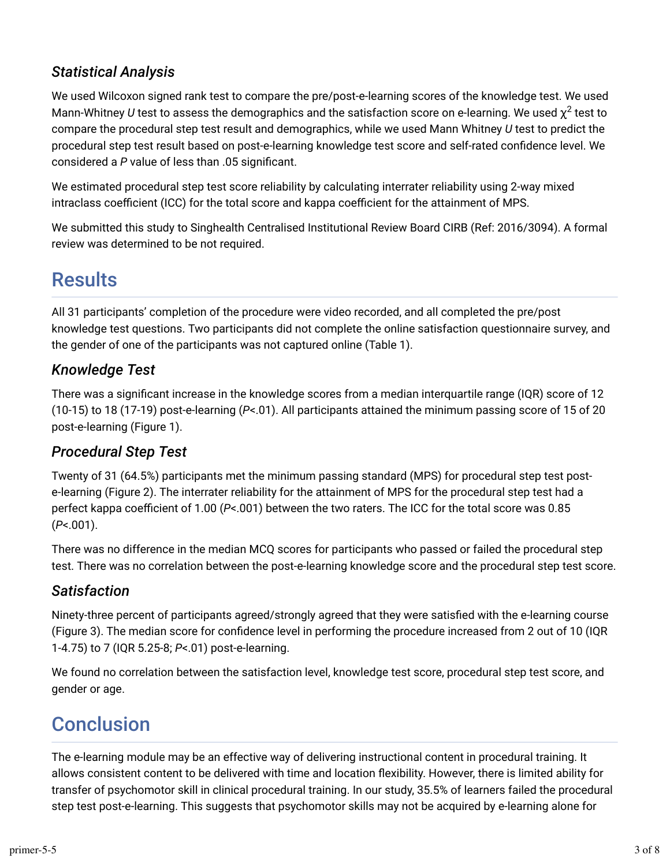### *Statistical Analysis*

We used Wilcoxon signed rank test to compare the pre/post-e-learning scores of the knowledge test. We used Mann-Whitney  $U$  test to assess the demographics and the satisfaction score on e-learning. We used  $\chi^2$  test to compare the procedural step test result and demographics, while we used Mann Whitney *U* test to predict the procedural step test result based on post-e-learning knowledge test score and self-rated confidence level. We considered a P value of less than .05 significant.

We estimated procedural step test score reliability by calculating interrater reliability using 2-way mixed intraclass coefficient (ICC) for the total score and kappa coefficient for the attainment of MPS.

We submitted this study to Singhealth Centralised Institutional Review Board CIRB (Ref: 2016/3094). A formal review was determined to be not required.

## **Results**

All 31 participants' completion of the procedure were video recorded, and all completed the pre/post knowledge test questions. Two participants did not complete the online satisfaction questionnaire survey, and the gender of one of the participants was not captured online (Table 1).

## *Knowledge Test*

There was a significant increase in the knowledge scores from a median interguartile range (IQR) score of 12 (10-15) to 18 (17-19) post-e-learning (*P*<.01). All participants attained the minimum passing score of 15 of 20 post-e-learning (Figure 1).

### *Procedural Step Test*

Twenty of 31 (64.5%) participants met the minimum passing standard (MPS) for procedural step test poste-learning (Figure 2). The interrater reliability for the attainment of MPS for the procedural step test had a perfect kappa coefficient of 1.00 (*P*<.001) between the two raters. The ICC for the total score was 0.85 (*P*<.001).

There was no difference in the median MCQ scores for participants who passed or failed the procedural step test. There was no correlation between the post-e-learning knowledge score and the procedural step test score.

### *Satisfaction*

Ninety-three percent of participants agreed/strongly agreed that they were satisfied with the e-learning course (Figure 3). The median score for confidence level in performing the procedure increased from 2 out of 10 (IQR 1-4.75) to 7 (IQR 5.25-8; *P*<.01) post-e-learning.

We found no correlation between the satisfaction level, knowledge test score, procedural step test score, and gender or age.

## **Conclusion**

The e-learning module may be an effective way of delivering instructional content in procedural training. It allows consistent content to be delivered with time and location dexibility. However, there is limited ability for transfer of psychomotor skill in clinical procedural training. In our study, 35.5% of learners failed the procedural step test post-e-learning. This suggests that psychomotor skills may not be acquired by e-learning alone for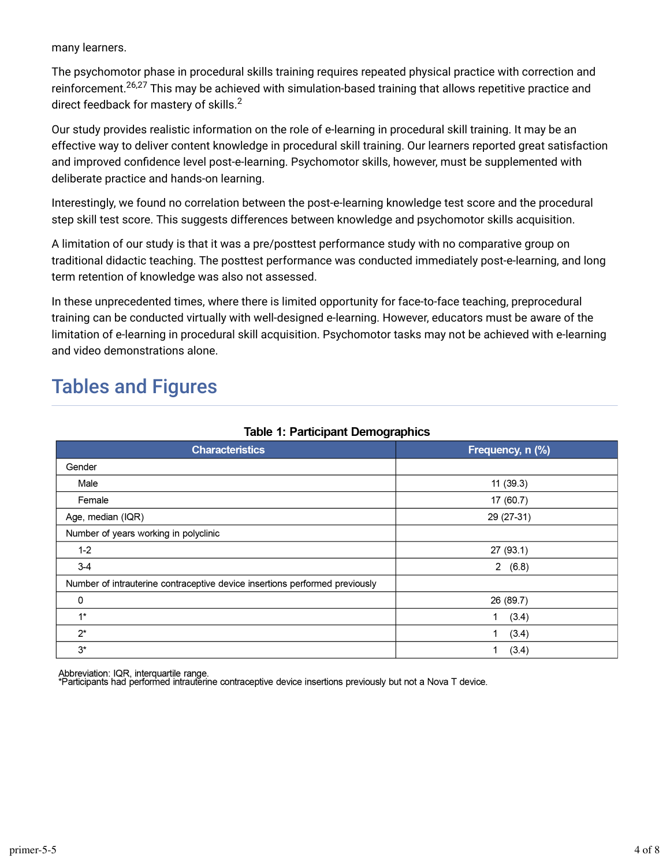many learners.

The psychomotor phase in procedural skills training requires repeated physical practice with correction and reinforcement.<sup>26,27</sup> This may be achieved with simulation-based training that allows repetitive practice and direct feedback for mastery of skills. 2

Our study provides realistic information on the role of e-learning in procedural skill training. It may be an effective way to deliver content knowledge in procedural skill training. Our learners reported great satisfaction and improved confidence level post-e-learning. Psychomotor skills, however, must be supplemented with deliberate practice and hands-on learning.

Interestingly, we found no correlation between the post-e-learning knowledge test score and the procedural step skill test score. This suggests differences between knowledge and psychomotor skills acquisition.

A limitation of our study is that it was a pre/posttest performance study with no comparative group on traditional didactic teaching. The posttest performance was conducted immediately post-e-learning, and long term retention of knowledge was also not assessed.

In these unprecedented times, where there is limited opportunity for face-to-face teaching, preprocedural training can be conducted virtually with well-designed e-learning. However, educators must be aware of the limitation of e-learning in procedural skill acquisition. Psychomotor tasks may not be achieved with e-learning and video demonstrations alone.

## Tables and Figures

| rabic 1. I drugiparit Dennographics                                         |                  |
|-----------------------------------------------------------------------------|------------------|
| <b>Characteristics</b>                                                      | Frequency, n (%) |
| Gender                                                                      |                  |
| Male                                                                        | 11(39.3)         |
| Female                                                                      | 17 (60.7)        |
| Age, median (IQR)                                                           | 29 (27-31)       |
| Number of years working in polyclinic                                       |                  |
| $1 - 2$                                                                     | 27 (93.1)        |
| $3-4$                                                                       | 2(6.8)           |
| Number of intrauterine contraceptive device insertions performed previously |                  |
| 0                                                                           | 26 (89.7)        |
| $1^*$                                                                       | (3.4)<br>1       |
| $2^*$                                                                       | (3.4)<br>1       |
| $3^*$                                                                       | (3.4)            |

#### Table 1: Particinant Demographics

Abbreviation: IQR, interquartile range.<br>\*Participants had performed intrauterine contraceptive device insertions previously but not a Nova T device.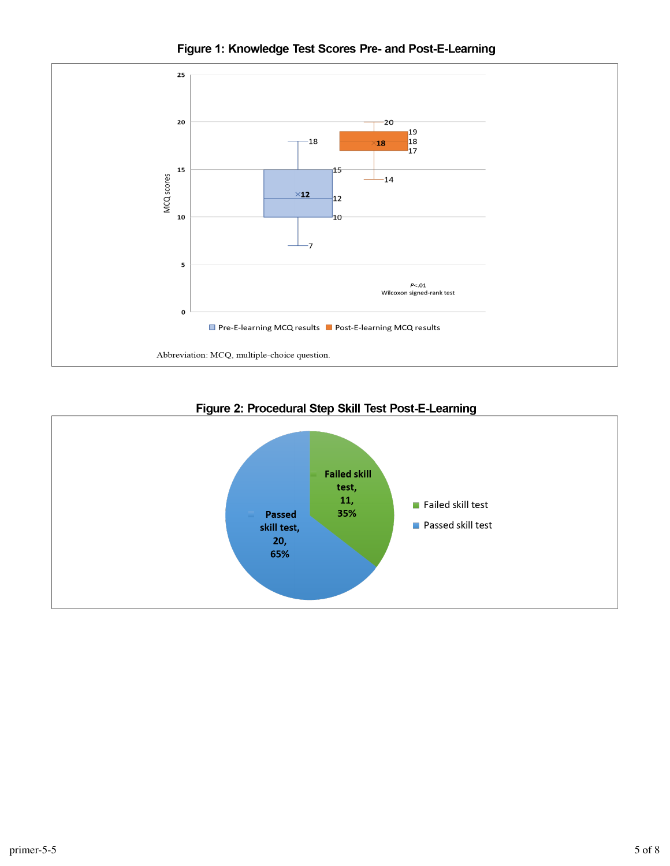Figure 1: Knowledge Test Scores Pre- and Post-E-Learning





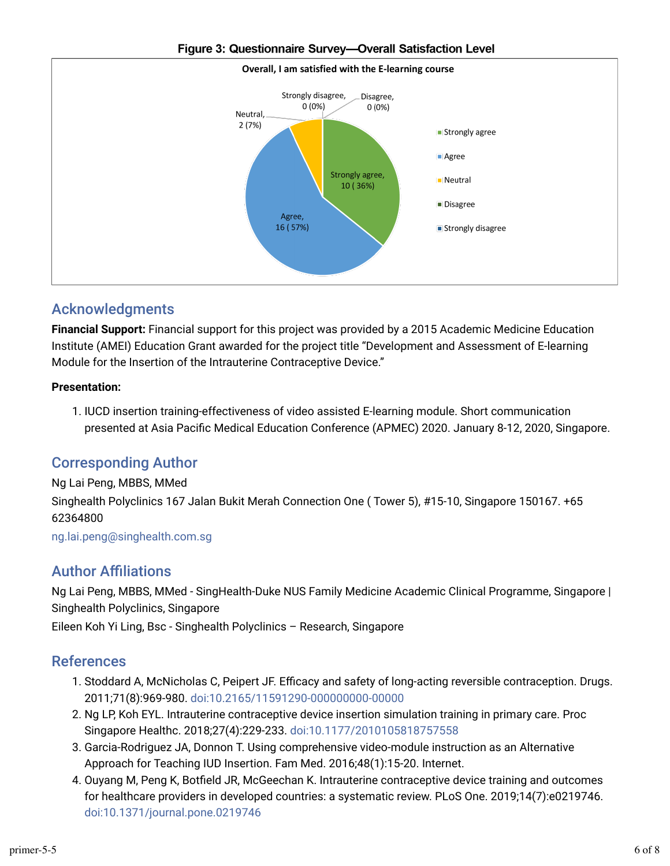

#### Figure 3: Questionnaire Survey-Overall Satisfaction Level

#### Acknowledgments

**Financial Support:** Financial support for this project was provided by a 2015 Academic Medicine Education Institute (AMEI) Education Grant awarded for the project title "Development and Assessment of E-learning Module for the Insertion of the Intrauterine Contraceptive Device."

#### **Presentation:**

1. IUCD insertion training-effectiveness of video assisted E-learning module. Short communication presented at Asia Pacific Medical Education Conference (APMEC) 2020. January 8-12, 2020, Singapore.

### Corresponding Author

#### Ng Lai Peng, MBBS, MMed

Singhealth Polyclinics 167 Jalan Bukit Merah Connection One ( Tower 5), #15-10, Singapore 150167. +65 62364800

ng.lai.peng@singhealth.com.sg

#### **Author Affiliations**

Ng Lai Peng, MBBS, MMed - SingHealth-Duke NUS Family Medicine Academic Clinical Programme, Singapore | Singhealth Polyclinics, Singapore

Eileen Koh Yi Ling, Bsc - Singhealth Polyclinics – Research, Singapore

#### References

- 1. Stoddard A, McNicholas C, Peipert JF. Efficacy and safety of long-acting reversible contraception. Drugs. 2011;71(8):969-980. doi:10.2165/11591290-000000000-00000
- 2. Ng LP, Koh EYL. Intrauterine contraceptive device insertion simulation training in primary care. Proc Singapore Healthc. 2018;27(4):229-233. doi:10.1177/2010105818757558
- 3. Garcia-Rodriguez JA, Donnon T. Using comprehensive video-module instruction as an Alternative Approach for Teaching IUD Insertion. Fam Med. 2016;48(1):15-20. Internet.
- 4. Ouyang M, Peng K, Botfield JR, McGeechan K. Intrauterine contraceptive device training and outcomes for healthcare providers in developed countries: a systematic review. PLoS One. 2019;14(7):e0219746. doi:10.1371/journal.pone.0219746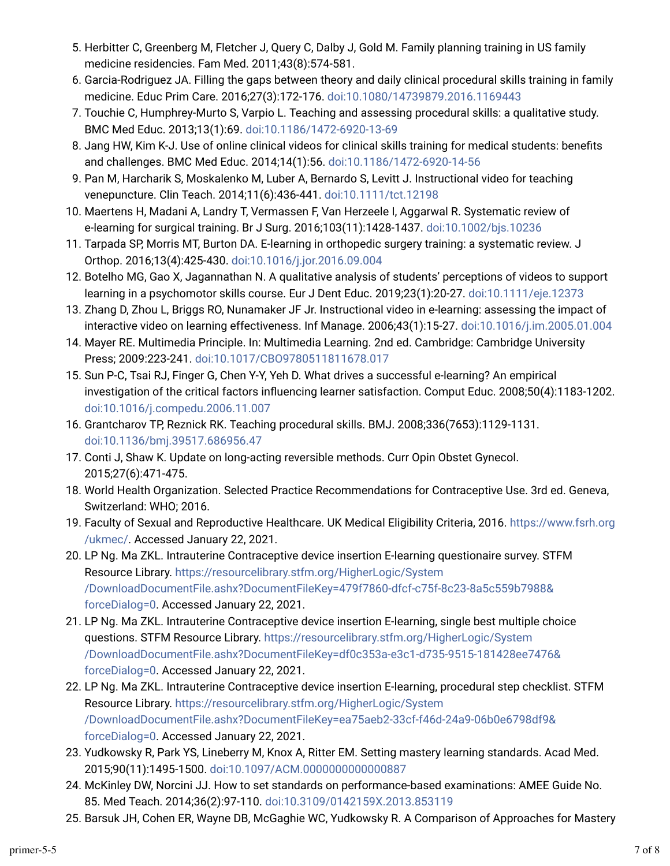- 5. Herbitter C, Greenberg M, Fletcher J, Query C, Dalby J, Gold M. Family planning training in US family medicine residencies. Fam Med. 2011;43(8):574-581.
- 6. Garcia-Rodriguez JA. Filling the gaps between theory and daily clinical procedural skills training in family medicine. Educ Prim Care. 2016;27(3):172-176. doi:10.1080/14739879.2016.1169443
- 7. Touchie C, Humphrey-Murto S, Varpio L. Teaching and assessing procedural skills: a qualitative study. BMC Med Educ. 2013;13(1):69. doi:10.1186/1472-6920-13-69
- 8. Jang HW, Kim K-J. Use of online clinical videos for clinical skills training for medical students: benefits and challenges. BMC Med Educ. 2014;14(1):56. doi:10.1186/1472-6920-14-56
- 9. Pan M, Harcharik S, Moskalenko M, Luber A, Bernardo S, Levitt J. Instructional video for teaching venepuncture. Clin Teach. 2014;11(6):436-441. doi:10.1111/tct.12198
- 10. Maertens H, Madani A, Landry T, Vermassen F, Van Herzeele I, Aggarwal R. Systematic review of e-learning for surgical training. Br J Surg. 2016;103(11):1428-1437. doi:10.1002/bjs.10236
- 11. Tarpada SP, Morris MT, Burton DA. E-learning in orthopedic surgery training: a systematic review. J Orthop. 2016;13(4):425-430. doi:10.1016/j.jor.2016.09.004
- 12. Botelho MG, Gao X, Jagannathan N. A qualitative analysis of students' perceptions of videos to support learning in a psychomotor skills course. Eur J Dent Educ. 2019;23(1):20-27. doi:10.1111/eje.12373
- 13. Zhang D, Zhou L, Briggs RO, Nunamaker JF Jr. Instructional video in e-learning: assessing the impact of interactive video on learning effectiveness. Inf Manage. 2006;43(1):15-27. doi:10.1016/j.im.2005.01.004
- 14. Mayer RE. Multimedia Principle. In: Multimedia Learning. 2nd ed. Cambridge: Cambridge University Press; 2009:223-241. doi:10.1017/CBO9780511811678.017
- 15. Sun P-C, Tsai RJ, Finger G, Chen Y-Y, Yeh D. What drives a successful e-learning? An empirical investigation of the critical factors influencing learner satisfaction. Comput Educ. 2008;50(4):1183-1202. doi:10.1016/j.compedu.2006.11.007
- 16. Grantcharov TP, Reznick RK. Teaching procedural skills. BMJ. 2008;336(7653):1129-1131. doi:10.1136/bmj.39517.686956.47
- 17. Conti J, Shaw K. Update on long-acting reversible methods. Curr Opin Obstet Gynecol. 2015;27(6):471-475.
- 18. World Health Organization. Selected Practice Recommendations for Contraceptive Use. 3rd ed. Geneva, Switzerland: WHO; 2016.
- 19. Faculty of Sexual and Reproductive Healthcare. UK Medical Eligibility Criteria, 2016. https://www.fsrh.org /ukmec/. Accessed January 22, 2021.
- 20. LP Ng. Ma ZKL. Intrauterine Contraceptive device insertion E-learning questionaire survey. STFM Resource Library. https://resourcelibrary.stfm.org/HigherLogic/System /DownloadDocumentFile.ashx?DocumentFileKey=479f7860-dfcf-c75f-8c23-8a5c559b7988& forceDialog=0. Accessed January 22, 2021.
- 21. LP Ng. Ma ZKL. Intrauterine Contraceptive device insertion E-learning, single best multiple choice questions. STFM Resource Library. https://resourcelibrary.stfm.org/HigherLogic/System /DownloadDocumentFile.ashx?DocumentFileKey=df0c353a-e3c1-d735-9515-181428ee7476& forceDialog=0. Accessed January 22, 2021.
- 22. LP Ng. Ma ZKL. Intrauterine Contraceptive device insertion E-learning, procedural step checklist. STFM Resource Library. https://resourcelibrary.stfm.org/HigherLogic/System /DownloadDocumentFile.ashx?DocumentFileKey=ea75aeb2-33cf-f46d-24a9-06b0e6798df9& forceDialog=0. Accessed January 22, 2021.
- 23. Yudkowsky R, Park YS, Lineberry M, Knox A, Ritter EM. Setting mastery learning standards. Acad Med. 2015;90(11):1495-1500. doi:10.1097/ACM.0000000000000887
- 24. McKinley DW, Norcini JJ. How to set standards on performance-based examinations: AMEE Guide No. 85. Med Teach. 2014;36(2):97-110. doi:10.3109/0142159X.2013.853119
- 25. Barsuk JH, Cohen ER, Wayne DB, McGaghie WC, Yudkowsky R. A Comparison of Approaches for Mastery